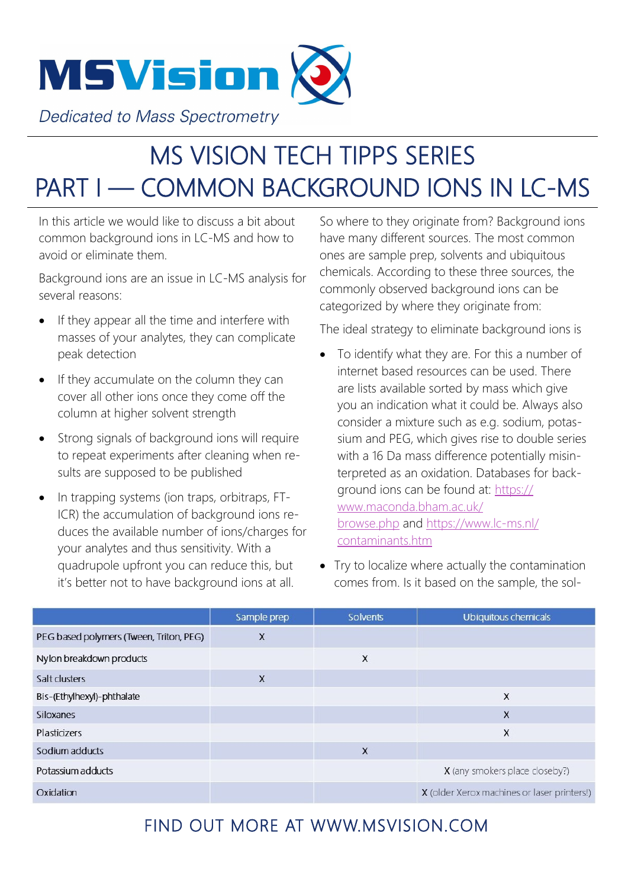

**Dedicated to Mass Spectrometry** 

## MS VISION TECH TIPPS SERIES PART I — COMMON BACKGROUND IONS IN LC-MS

In this article we would like to discuss a bit about common background ions in LC-MS and how to avoid or eliminate them.

Background ions are an issue in LC-MS analysis for several reasons:

- If they appear all the time and interfere with masses of your analytes, they can complicate peak detection
- If they accumulate on the column they can cover all other ions once they come off the column at higher solvent strength
- Strong signals of background ions will require to repeat experiments after cleaning when results are supposed to be published
- In trapping systems (ion traps, orbitraps, FT-ICR) the accumulation of background ions reduces the available number of ions/charges for your analytes and thus sensitivity. With a quadrupole upfront you can reduce this, but it's better not to have background ions at all.

So where to they originate from? Background ions have many different sources. The most common ones are sample prep, solvents and ubiquitous chemicals. According to these three sources, the commonly observed background ions can be categorized by where they originate from:

The ideal strategy to eliminate background ions is

- To identify what they are. For this a number of internet based resources can be used. There are lists available sorted by mass which give you an indication what it could be. Always also consider a mixture such as e.g. sodium, potassium and PEG, which gives rise to double series with a 16 Da mass difference potentially misinterpreted as an oxidation. Databases for background ions can be found at: [https://](https://www.maconda.bham.ac.uk/browse.php) [www.maconda.bham.ac.uk/](https://www.maconda.bham.ac.uk/browse.php) [browse.php](https://www.maconda.bham.ac.uk/browse.php) and [https://www.lc](https://www.lc-ms.nl/contaminants.htm)-ms.nl/ [contaminants.htm](https://www.lc-ms.nl/contaminants.htm)
- Try to localize where actually the contamination comes from. Is it based on the sample, the sol-

|                                         | Sample prep | <b>Solvents</b> | Ubiquitous chemicals                        |
|-----------------------------------------|-------------|-----------------|---------------------------------------------|
| PEG based polymers (Tween, Triton, PEG) | X           |                 |                                             |
| Nylon breakdown products                |             | X               |                                             |
| Salt clusters                           | X           |                 |                                             |
| Bis-(Ethylhexyl)-phthalate              |             |                 | X                                           |
| Siloxanes                               |             |                 | X                                           |
| <b>Plasticizers</b>                     |             |                 | X                                           |
| Sodium adducts                          |             | X               |                                             |
| Potassium adducts                       |             |                 | X (any smokers place closeby?)              |
| Oxidation                               |             |                 | X (older Xerox machines or laser printers!) |